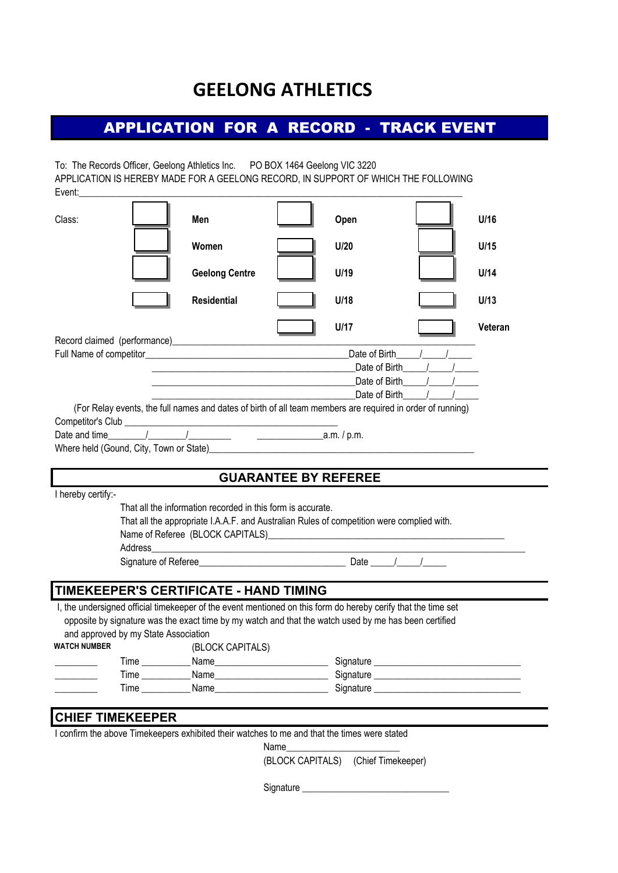## **GEELONG ATHLETICS**

## APPLICATION FOR A RECORD - TRACK EVENT

To: The Records Officer, Geelong Athletics Inc. PO BOX 1464 Geelong VIC 3220 Event: APPLICATION IS HEREBY MADE FOR A GEELONG RECORD, IN SUPPORT OF WHICH THE FOLLOWING

| Class:                                                                                                                                                                                                                                                                                                                                       | Men                                                                                                                                                      |                             | Open                     | U/16    |
|----------------------------------------------------------------------------------------------------------------------------------------------------------------------------------------------------------------------------------------------------------------------------------------------------------------------------------------------|----------------------------------------------------------------------------------------------------------------------------------------------------------|-----------------------------|--------------------------|---------|
|                                                                                                                                                                                                                                                                                                                                              | Women                                                                                                                                                    |                             | U/20                     | U/15    |
|                                                                                                                                                                                                                                                                                                                                              | <b>Geelong Centre</b>                                                                                                                                    |                             | U/19                     | U/14    |
|                                                                                                                                                                                                                                                                                                                                              | <b>Residential</b>                                                                                                                                       |                             | U/18                     | U/13    |
|                                                                                                                                                                                                                                                                                                                                              |                                                                                                                                                          |                             | U/17                     | Veteran |
|                                                                                                                                                                                                                                                                                                                                              |                                                                                                                                                          |                             |                          |         |
|                                                                                                                                                                                                                                                                                                                                              |                                                                                                                                                          |                             | <b>Date of Birth</b> 1 1 |         |
|                                                                                                                                                                                                                                                                                                                                              | <u> 2000 - Jan James James James James James James James James James James James James James James James James Ja</u>                                    |                             | Date of Birth            |         |
|                                                                                                                                                                                                                                                                                                                                              |                                                                                                                                                          |                             | Date of Birth /          |         |
| (For Relay events, the full names and dates of birth of all team members are required in order of running)<br>Where held (Gound, City, Town or State) Manual Communication of the Communication of the Communication of the Communication of the Communication of the Communication of the Communication of the Communication of the Communi |                                                                                                                                                          |                             |                          |         |
|                                                                                                                                                                                                                                                                                                                                              |                                                                                                                                                          | <b>GUARANTEE BY REFEREE</b> |                          |         |
| I hereby certify:-<br>Address                                                                                                                                                                                                                                                                                                                | That all the information recorded in this form is accurate.<br>That all the appropriate I.A.A.F. and Australian Rules of competition were complied with. |                             |                          |         |
|                                                                                                                                                                                                                                                                                                                                              |                                                                                                                                                          |                             |                          |         |
| TIMEKEEPER'S CERTIFICATE - HAND TIMING                                                                                                                                                                                                                                                                                                       |                                                                                                                                                          |                             |                          |         |
| I, the undersigned official timekeeper of the event mentioned on this form do hereby cerify that the time set<br>opposite by signature was the exact time by my watch and that the watch used by me has been certified<br>and approved by my State Association<br>WATCH NUMBER (RI OCK CAPITALS)                                             |                                                                                                                                                          |                             |                          |         |

|      | $10-0011011111001$ |           |
|------|--------------------|-----------|
| Time | Name               | Signature |
| Time | Name               | Signature |
| Time | Name               | Signature |
|      |                    |           |

## **CHIEF TIMEKEEPER**

I confirm the above Timekeepers exhibited their watches to me and that the times were stated

| Name<br>___ |  |  |  |
|-------------|--|--|--|
|             |  |  |  |

(BLOCK CAPITALS) (Chief Timekeeper)

Signature \_\_\_\_\_\_\_\_\_\_\_\_\_\_\_\_\_\_\_\_\_\_\_\_\_\_\_\_\_\_\_